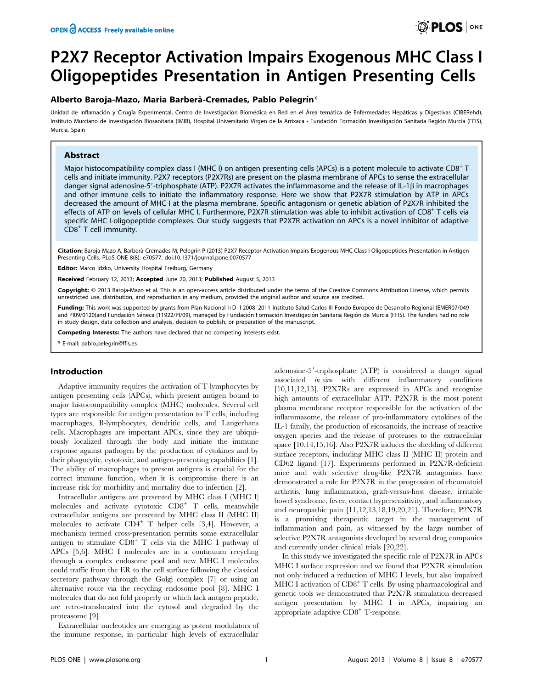# P2X7 Receptor Activation Impairs Exogenous MHC Class I Oligopeptides Presentation in Antigen Presenting Cells

# Alberto Baroja-Mazo, Maria Barberà-Cremades, Pablo Pelegrín\*

Unidad de Inflamación y Cirugía Experimental, Centro de Investigación Biomédica en Red en el Área temática de Enfermedades Hepáticas y Digestivas (CIBERehd), Instituto Murciano de Investigación Biosanitaria (IMIB), Hospital Universitario Virgen de la Arrixaca - Fundación Formación Investigación Sanitaria Región Murcia (FFIS), Murcia, Spain

## Abstract

Major histocompatibility complex class I (MHC I) on antigen presenting cells (APCs) is a potent molecule to activate CD8<sup>+</sup> T cells and initiate immunity. P2X7 receptors (P2X7Rs) are present on the plasma membrane of APCs to sense the extracellular danger signal adenosine-5'-triphosphate (ATP). P2X7R activates the inflammasome and the release of IL-1 $\beta$  in macrophages and other immune cells to initiate the inflammatory response. Here we show that P2X7R stimulation by ATP in APCs decreased the amount of MHC I at the plasma membrane. Specific antagonism or genetic ablation of P2X7R inhibited the effects of ATP on levels of cellular MHC I. Furthermore, P2X7R stimulation was able to inhibit activation of CD8<sup>+</sup> T cells via specific MHC I-oligopeptide complexes. Our study suggests that P2X7R activation on APCs is a novel inhibitor of adaptive CD8<sup>+</sup> T cell immunity.

Citation: Baroja-Mazo A, Barberà-Cremades M, Pelegrín P (2013) P2X7 Receptor Activation Impairs Exogenous MHC Class I Oligopeptides Presentation in Antigen Presenting Cells. PLoS ONE 8(8): e70577. doi:10.1371/journal.pone.0070577

Editor: Marco Idzko, University Hospital Freiburg, Germany

Received February 12, 2013; Accepted June 20, 2013; Published August 5, 2013

Copyright: © 2013 Baroia-Mazo et al. This is an open-access article distributed under the terms of the Creative Commons Attribution License, which permits unrestricted use, distribution, and reproduction in any medium, provided the original author and source are credited.

Funding: This work was supported by grants from Plan Nacional I+D+I 2008-2011-Instituto Salud Carlos III-Fondo Europeo de Desarrollo Regional (EMER07/049 and PI09/0120)and Fundación Séneca (11922/PI/09), managed by Fundación Formación Investigación Sanitaria Región de Murcia (FFIS). The funders had no role in study design, data collection and analysis, decision to publish, or preparation of the manuscript.

Competing Interests: The authors have declared that no competing interests exist.

\* E-mail: pablo.pelegrin@ffis.es

## Introduction

Adaptive immunity requires the activation of T lymphocytes by antigen presenting cells (APCs), which present antigen bound to major histocompatibility complex (MHC) molecules. Several cell types are responsible for antigen presentation to T cells, including macrophages, B-lymphocytes, dendritic cells, and Langerhans cells. Macrophages are important APCs, since they are ubiquitously localized through the body and initiate the immune response against pathogen by the production of cytokines and by their phagocytic, cytotoxic, and antigen-presenting capabilities [1]. The ability of macrophages to present antigens is crucial for the correct immune function, when it is compromise there is an increase risk for morbidity and mortality due to infection [2].

Intracellular antigens are presented by MHC class I (MHC I) molecules and activate cytotoxic CD8<sup>+</sup> T cells, meanwhile extracellular antigens are presented by MHC class II (MHC II) molecules to activate  $CD4^+$  T helper cells [3,4]. However, a mechanism termed cross-presentation permits some extracellular antigen to stimulate  $CD8<sup>+</sup>$  T cells via the MHC I pathway of APCs [5,6]. MHC I molecules are in a continuum recycling through a complex endosome pool and new MHC I molecules could traffic from the ER to the cell surface following the classical secretory pathway through the Golgi complex [7] or using an alternative route via the recycling endosome pool [8]. MHC I molecules that do not fold properly or which lack antigen peptide, are retro-translocated into the cytosol and degraded by the proteasome [9].

Extracellular nucleotides are emerging as potent modulators of the immune response, in particular high levels of extracellular

adenosine-5'-triphosphate (ATP) is considered a danger signal associated in vivo with different inflammatory conditions [10,11,12,13]. P2X7Rs are expressed in APCs and recognize high amounts of extracellular ATP. P2X7R is the most potent plasma membrane receptor responsible for the activation of the inflammasome, the release of pro-inflammatory cytokines of the IL-1 family, the production of eicosanoids, the increase of reactive oxygen species and the release of proteases to the extracellular space [10,14,15,16]. Also P2X7R induces the shedding of different surface receptors, including MHC class II (MHC II) protein and CD62 ligand [17]. Experiments performed in P2X7R-deficient mice and with selective drug-like P2X7R antagonists have demonstrated a role for P2X7R in the progression of rheumatoid arthritis, lung inflammation, graft-versus-host disease, irritable bowel syndrome, fever, contact hypersensitivity, and inflammatory and neuropathic pain [11,12,13,18,19,20,21]. Therefore, P2X7R is a promising therapeutic target in the management of inflammation and pain, as witnessed by the large number of selective P2X7R antagonists developed by several drug companies and currently under clinical trials [20,22].

In this study we investigated the specific role of P2X7R in APCs MHC I surface expression and we found that P2X7R stimulation not only induced a reduction of MHC I levels, but also impaired MHC I activation of CD8<sup>+</sup> T cells. By using pharmacological and genetic tools we demonstrated that P2X7R stimulation decreased antigen presentation by MHC I in APCs, impairing an appropriate adaptive CD8<sup>+</sup> T-response.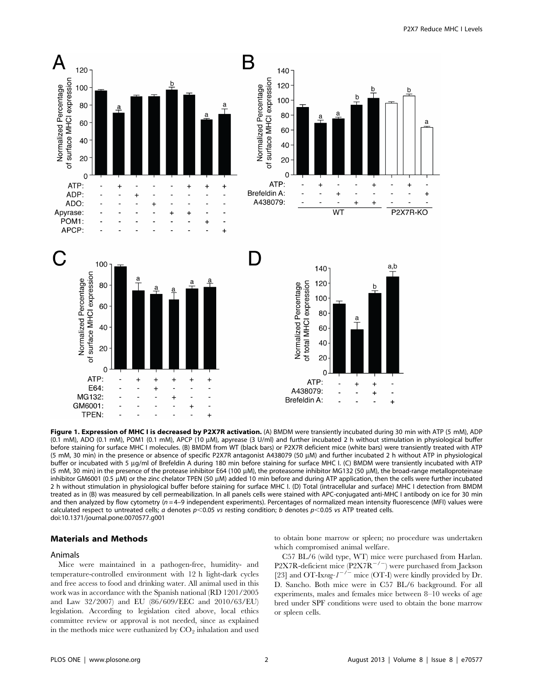

Figure 1. Expression of MHC I is decreased by P2X7R activation. (A) BMDM were transiently incubated during 30 min with ATP (5 mM), ADP (0.1 mM), ADO (0.1 mM), POM1 (0.1 mM), APCP (10 μM), apyrease (3 U/ml) and further incubated 2 h without stimulation in physiological buffer before staining for surface MHC I molecules. (B) BMDM from WT (black bars) or P2X7R deficient mice (white bars) were transiently treated with ATP (5 mM, 30 min) in the presence or absence of specific P2X7R antagonist A438079 (50 mM) and further incubated 2 h without ATP in physiological buffer or incubated with 5 µg/ml of Brefeldin A during 180 min before staining for surface MHC I. (C) BMDM were transiently incubated with ATP (5 mM, 30 min) in the presence of the protease inhibitor E64 (100 µM), the proteasome inhibitor MG132 (50 µM), the broad-range metalloproteinase inhibitor GM6001 (0.5 μM) or the zinc chelator TPEN (50 μM) added 10 min before and during ATP application, then the cells were further incubated 2 h without stimulation in physiological buffer before staining for surface MHC I. (D) Total (intracellular and surface) MHC I detection from BMDM treated as in (B) was measured by cell permeabilization. In all panels cells were stained with APC-conjugated anti-MHC I antibody on ice for 30 min and then analyzed by flow cytometry ( $n = 4-9$  independent experiments). Percentages of normalized mean intensity fluorescence (MFI) values were calculated respect to untreated cells; a denotes  $p<0.05$  vs resting condition; b denotes  $p<0.05$  vs ATP treated cells. doi:10.1371/journal.pone.0070577.g001

#### Materials and Methods

#### Animals

Mice were maintained in a pathogen-free, humidity- and temperature-controlled environment with 12 h light-dark cycles and free access to food and drinking water. All animal used in this work was in accordance with the Spanish national (RD 1201/2005 and Law 32/2007) and EU (86/609/EEC and 2010/63/EU) legislation. According to legislation cited above, local ethics committee review or approval is not needed, since as explained in the methods mice were euthanized by  $CO<sub>2</sub>$  inhalation and used to obtain bone marrow or spleen; no procedure was undertaken which compromised animal welfare.

C57 BL/6 (wild type, WT) mice were purchased from Harlan. P2X7R-deficient mice  $(P2X7R^{-7})$  were purchased from Jackson [23] and OT-Ixrag- $I^{-/-}$  mice (OT-I) were kindly provided by Dr. D. Sancho. Both mice were in C57 BL/6 background. For all experiments, males and females mice between 8–10 weeks of age bred under SPF conditions were used to obtain the bone marrow or spleen cells.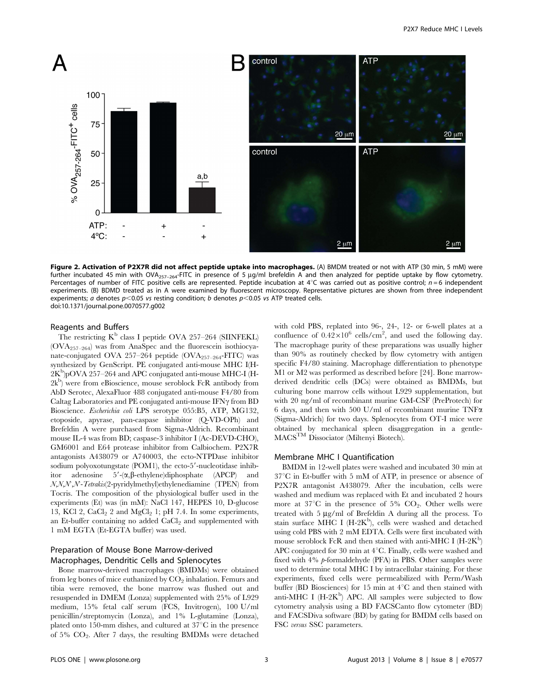

Figure 2. Activation of P2X7R did not affect peptide uptake into macrophages. (A) BMDM treated or not with ATP (30 min, 5 mM) were further incubated 45 min with OVA<sub>257–264</sub>-FITC in presence of 5 µg/ml brefeldin A and then analyzed for peptide uptake by flow cytometry. Percentages of number of FITC positive cells are represented. Peptide incubation at  $4^{\circ}$ C was carried out as positive control;  $n=6$  independent experiments. (B) BDMD treated as in A were examined by fluorescent microscopy. Representative pictures are shown from three independent experiments; a denotes  $p<0.05$  vs resting condition; b denotes  $p<0.05$  vs ATP treated cells. doi:10.1371/journal.pone.0070577.g002

#### Reagents and Buffers

The restricting  $K^b$  class I peptide OVA 257–264 (SIINFEKL) (OVA257–264) was from AnaSpec and the fluorescein isothiocyanate-conjugated OVA 257-264 peptide  $(OVA<sub>257-264</sub>-FITC)$  was synthesized by GenScript. PE conjugated anti-mouse MHC I(H- $2K^b$ )pOVA 257–264 and APC conjugated anti-mouse MHC-I (H-2k<sup>b</sup>) were from eBioscience, mouse seroblock FcR antibody from AbD Serotec, AlexaFluor 488 conjugated anti-mouse F4/80 from Caltag Laboratories and PE conjugated anti-mouse  $IFN\gamma$  from BD Bioscience. Escherichia coli LPS serotype 055:B5, ATP, MG132, etoposide, apyrase, pan-caspase inhibitor (Q-VD-OPh) and Brefeldin A were purchased from Sigma-Aldrich. Recombinant mouse IL-4 was from BD; caspase-3 inhibitor I (Ac-DEVD-CHO), GM6001 and E64 protease inhibitor from Calbiochem. P2X7R antagonists A438079 or A740003, the ecto-NTPDase inhibitor sodium polyoxotungstate (POM1), the ecto- $5'$ -nucleotidase inhibitor adenosine  $5'$ - $(\alpha, \beta$ -ethylene)diphosphate (APCP) and N,N,N',N'-Tetrakis(2-pyridylmethyl)ethylenediamine (TPEN) from Tocris. The composition of the physiological buffer used in the experiments (Et) was (in mM): NaCl 147, HEPES 10, D-glucose 13, KCl 2,  $CaCl<sub>2</sub>$  2 and  $MgCl<sub>2</sub>$  1; pH 7.4. In some experiments, an Et-buffer containing no added  $CaCl<sub>2</sub>$  and supplemented with 1 mM EGTA (Et-EGTA buffer) was used.

# Preparation of Mouse Bone Marrow-derived Macrophages, Dendritic Cells and Splenocytes

Bone marrow-derived macrophages (BMDMs) were obtained from leg bones of mice euthanized by  $CO<sub>2</sub>$  inhalation. Femurs and tibia were removed, the bone marrow was flushed out and resuspended in DMEM (Lonza) supplemented with 25% of L929 medium, 15% fetal calf serum (FCS, Invitrogen), 100 U/ml penicillin/streptomycin (Lonza), and 1% L-glutamine (Lonza), plated onto 150-mm dishes, and cultured at  $37^{\circ}$ C in the presence of 5% CO2. After 7 days, the resulting BMDMs were detached with cold PBS, replated into 96-, 24-, 12- or 6-well plates at a confluence of  $0.42 \times 10^6$  cells/cm<sup>2</sup>, and used the following day. The macrophage purity of these preparations was usually higher than 90% as routinely checked by flow cytometry with antigen specific F4/80 staining. Macrophage differentiation to phenotype M1 or M2 was performed as described before [24]. Bone marrowderived dendritic cells (DCs) were obtained as BMDMs, but culturing bone marrow cells without L929 supplementation, but with 20 ng/ml of recombinant murine GM-CSF (PreProtech) for 6 days, and then with 500 U/ml of recombinant murine  $TNF\alpha$ (Sigma-Aldrich) for two days. Splenocytes from OT-I mice were obtained by mechanical spleen disaggregation in a gentle-MACSTM Dissociator (Miltenyi Biotech).

# Membrane MHC I Quantification

BMDM in 12-well plates were washed and incubated 30 min at  $37^{\circ}$ C in Et-buffer with 5 mM of ATP, in presence or absence of P2X7R antagonist A438079. After the incubation, cells were washed and medium was replaced with Et and incubated 2 hours more at  $37^{\circ}$ C in the presence of 5% CO<sub>2</sub>. Other wells were treated with  $5 \mu g/ml$  of Brefeldin A during all the process. To stain surface MHC I (H-2K<sup>b</sup>), cells were washed and detached using cold PBS with 2 mM EDTA. Cells were first incubated with mouse seroblock FcR and then stained with anti-MHC I (H-2K<sup>b</sup>) APC conjugated for 30 min at  $4^{\circ}$ C. Finally, cells were washed and fixed with 4% p-formaldehyde (PFA) in PBS. Other samples were used to determine total MHC I by intracellular staining. For these experiments, fixed cells were permeabilized with Perm/Wash buffer (BD Biosciences) for 15 min at  $4^{\circ}$ C and then stained with anti-MHC I ( $H$ -2 $K^b$ ) APC. All samples were subjected to flow cytometry analysis using a BD FACSCanto flow cytometer (BD) and FACSDiva software (BD) by gating for BMDM cells based on FSC versus SSC parameters.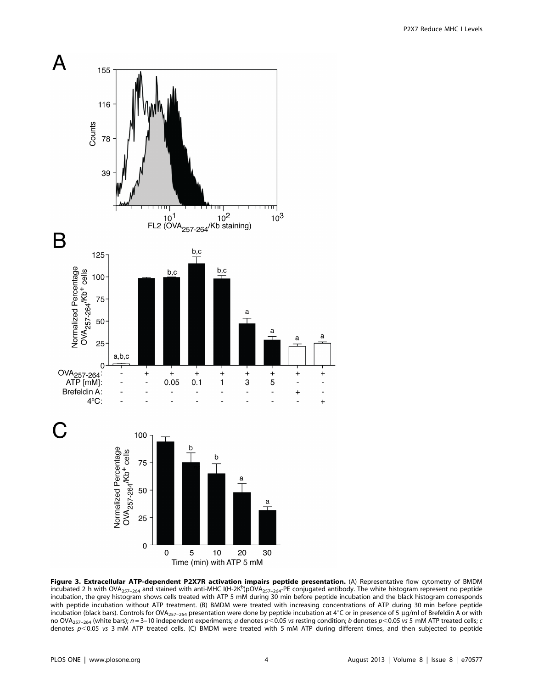

Figure 3. Extracellular ATP-dependent P2X7R activation impairs peptide presentation. (A) Representative flow cytometry of BMDM incubated 2 h with OVA<sub>257-264</sub> and stained with anti-MHC I(H-2K<sup>b</sup>)pOVA<sub>257-264</sub>-PE conjugated antibody. The white histogram represent no peptide incubation, the grey histogram shows cells treated with ATP 5 mM during 30 min before peptide incubation and the black histogram corresponds with peptide incubation without ATP treatment. (B) BMDM were treated with increasing concentrations of ATP during 30 min before peptide incubation (black bars). Controls for OVA<sub>257–264</sub> presentation were done by peptide incubation at 4°C or in presence of 5 µg/ml of Brefeldin A or with no OVA<sub>257–264</sub> (white bars); n = 3–10 independent experiments; a denotes p < 0.05 vs resting condition; b denotes p < 0.05 vs 5 mM ATP treated cells; c denotes  $p$ <0.05 vs 3 mM ATP treated cells. (C) BMDM were treated with 5 mM ATP during different times, and then subjected to peptide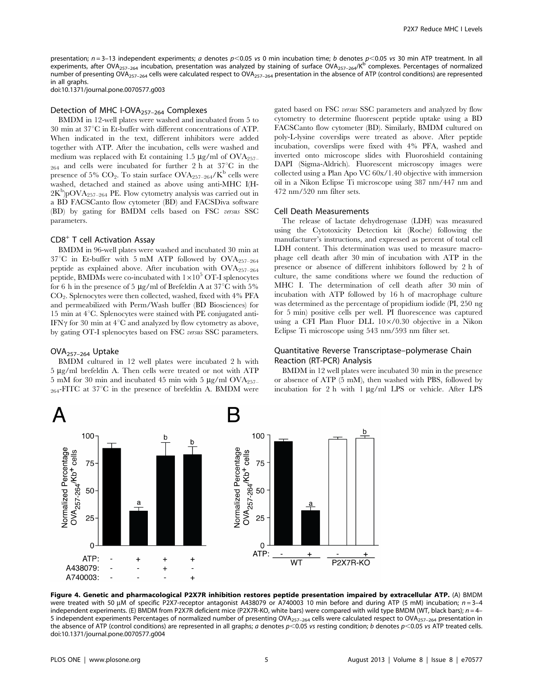presentation;  $n = 3-13$  independent experiments; a denotes  $p < 0.05$  vs 0 min incubation time; b denotes  $p < 0.05$  vs 30 min ATP treatment. In all experiments, after OVA<sub>257–264</sub> incubation, presentation was analyzed by staining of surface OVA<sub>257–264</sub>/K<sup>b</sup> complexes. Percentages of normalized number of presenting OVA<sub>257–264</sub> cells were calculated respect to OVA<sub>257–264</sub> presentation in the absence of ATP (control conditions) are represented in all graphs.

doi:10.1371/journal.pone.0070577.g003

#### Detection of MHC I-OVA<sub>257-264</sub> Complexes

BMDM in 12-well plates were washed and incubated from 5 to  $30$  min at  $37^{\circ}$ C in Et-buffer with different concentrations of ATP. When indicated in the text, different inhibitors were added together with ATP. After the incubation, cells were washed and medium was replaced with Et containing 1.5  $\mu$ g/ml of OVA<sub>257</sub>- $_{264}$  and cells were incubated for further 2 h at  $37^{\circ}$ C in the presence of 5%  $CO_2$ . To stain surface  $OVA_{257-264}/K^b$  cells were washed, detached and stained as above using anti-MHC I(H- $2K^b$ )pOVA<sub>257-264</sub> PE. Flow cytometry analysis was carried out in a BD FACSCanto flow cytometer (BD) and FACSDiva software (BD) by gating for BMDM cells based on FSC versus SSC parameters.

#### CD8<sup>+</sup> T cell Activation Assay

BMDM in 96-well plates were washed and incubated 30 min at  $37^{\circ}$ C in Et-buffer with 5 mM ATP followed by OVA<sub>257–264</sub> peptide as explained above. After incubation with  $OVA_{257-264}$ peptide, BMDMs were co-incubated with  $1\times10^{5}$  OT-I splenocytes for 6 h in the presence of 5  $\mu$ g/ml of Brefeldin A at 37<sup>°</sup>C with 5%  $CO<sub>2</sub>$ . Splenocytes were then collected, washed, fixed with  $4\%$  PFA and permeabilized with Perm/Wash buffer (BD Biosciences) for 15 min at  $4^{\circ}$ C. Splenocytes were stained with PE conjugated anti-IFN $\gamma$  for 30 min at 4 $\degree$ C and analyzed by flow cytometry as above, by gating OT-I splenocytes based on FSC versus SSC parameters.

## OVA257–264 Uptake

 $\Delta$ 

BMDM cultured in 12 well plates were incubated 2 h with  $5 \mu g/ml$  brefeldin A. Then cells were treated or not with ATP 5 mM for 30 min and incubated 45 min with 5  $\mu$ g/ml OVA<sub>257–</sub>  $_{264}$ -FITC at 37<sup>o</sup>C in the presence of brefeldin A. BMDM were gated based on FSC versus SSC parameters and analyzed by flow cytometry to determine fluorescent peptide uptake using a BD FACSCanto flow cytometer (BD). Similarly, BMDM cultured on poly-L-lysine coverslips were treated as above. After peptide incubation, coverslips were fixed with 4% PFA, washed and inverted onto microscope slides with Fluoroshield containing DAPI (Sigma-Aldrich). Fluorescent microscopy images were collected using a Plan Apo VC 60x/1.40 objective with immersion oil in a Nikon Eclipse Ti microscope using 387 nm/447 nm and 472 nm/520 nm filter sets.

## Cell Death Measurements

The release of lactate dehydrogenase (LDH) was measured using the Cytotoxicity Detection kit (Roche) following the manufacturer's instructions, and expressed as percent of total cell LDH content. This determination was used to measure macrophage cell death after 30 min of incubation with ATP in the presence or absence of different inhibitors followed by 2 h of culture, the same conditions where we found the reduction of MHC I. The determination of cell death after 30 min of incubation with ATP followed by 16 h of macrophage culture was determined as the percentage of propidium iodide (PI, 250 ng for 5 min) positive cells per well. PI fluorescence was captured using a CFI Plan Fluor DLL  $10\times/0.30$  objective in a Nikon Eclipse Ti microscope using 543 nm/593 nm filter set.

# Quantitative Reverse Transcriptase–polymerase Chain Reaction (RT-PCR) Analysis

BMDM in 12 well plates were incubated 30 min in the presence or absence of ATP (5 mM), then washed with PBS, followed by incubation for 2 h with  $1 \mu g/ml$  LPS or vehicle. After LPS



B

were treated with 50 µM of specific P2X7-receptor antagonist A438079 or A740003 10 min before and during ATP (5 mM) incubation;  $n = 3-4$ independent experiments. (E) BMDM from P2X7R deficient mice (P2X7R-KO, white bars) were compared with wild type BMDM (WT, black bars);  $n=4-$ 5 independent experiments Percentages of normalized number of presenting OVA257–264 cells were calculated respect to OVA257–264 presentation in the absence of ATP (control conditions) are represented in all graphs; a denotes  $p$ <0.05 vs resting condition; b denotes  $p$ <0.05 vs ATP treated cells. doi:10.1371/journal.pone.0070577.g004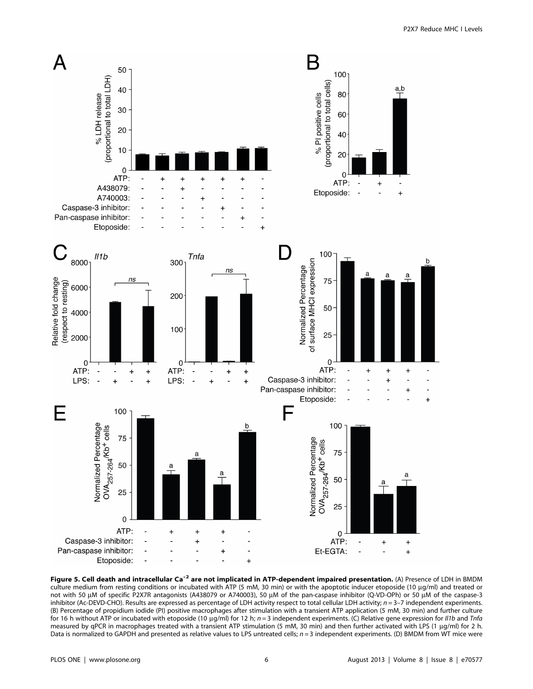

Figure 5. Cell death and intracellular Ca<sup>+2</sup> are not implicated in ATP-dependent impaired presentation. (A) Presence of LDH in BMDM culture medium from resting conditions or incubated with ATP (5 mM, 30 min) or with the apoptotic inducer etoposide (10 µg/ml) and treated or not with 50 μM of specific P2X7R antagonists (A438079 or A740003), 50 μM of the pan-caspase inhibitor (Q-VD-OPh) or 50 μM of the caspase-3 inhibitor (Ac-DEVD-CHO). Results are expressed as percentage of LDH activity respect to total cellular LDH activity;  $n = 3-7$  independent experiments. (B) Percentage of propidium iodide (PI) positive macrophages after stimulation with a transient ATP application (5 mM, 30 min) and further culture for 16 h without ATP or incubated with etoposide (10  $\mu$ g/ml) for 12 h; n = 3 independent experiments. (C) Relative gene expression for *II1b* and Tnfa measured by qPCR in macrophages treated with a transient ATP stimulation (5 mM, 30 min) and then further activated with LPS (1 µq/ml) for 2 h. Data is normalized to GAPDH and presented as relative values to LPS untreated cells;  $n = 3$  independent experiments. (D) BMDM from WT mice were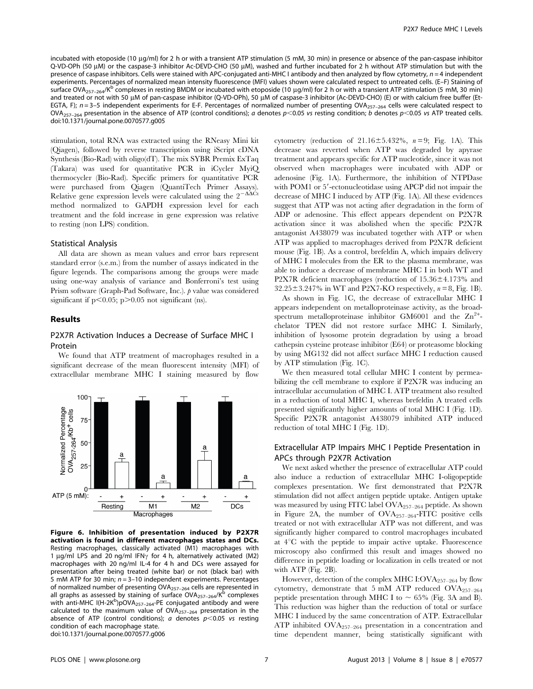incubated with etoposide (10 µg/ml) for 2 h or with a transient ATP stimulation (5 mM, 30 min) in presence or absence of the pan-caspase inhibitor Q-VD-OPh (50 µM) or the caspase-3 inhibitor Ac-DEVD-CHO (50 µM), washed and further incubated for 2 h without ATP stimulation but with the presence of caspase inhibitors. Cells were stained with APC-conjugated anti-MHC I antibody and then analyzed by flow cytometry,  $n = 4$  independent experiments. Percentages of normalized mean intensity fluorescence (MFI) values shown were calculated respect to untreated cells. (E–F) Staining of surface OVA<sub>257–264</sub>/K<sup>b</sup> complexes in resting BMDM or incubated with etoposide (10 µg/ml) for 2 h or with a transient ATP stimulation (5 mM, 30 min) and treated or not with 50 µM of pan-caspase inhibitor (Q-VD-OPh), 50 µM of caspase-3 inhibitor (Ac-DEVD-CHO) (E) or with calcium free buffer (Et-EGTA, F);  $n = 3-5$  independent experiments for E-F. Percentages of normalized number of presenting OVA<sub>257–264</sub> cells were calculated respect to OVA<sub>257-264</sub> presentation in the absence of ATP (control conditions); a denotes p<0.05 vs resting condition; b denotes p<0.05 vs ATP treated cells. doi:10.1371/journal.pone.0070577.g005

stimulation, total RNA was extracted using the RNeasy Mini kit (Qiagen), followed by reverse transcription using iScript cDNA Synthesis (Bio-Rad) with oligo(dT). The mix SYBR Premix ExTaq (Takara) was used for quantitative PCR in iCycler MyiQ thermocycler (Bio-Rad). Specific primers for quantitative PCR were purchased from Qiagen (QuantiTech Primer Assays). Relative gene expression levels were calculated using the  $2^{-\Delta\Delta Ct}$ method normalized to GAPDH expression level for each treatment and the fold increase in gene expression was relative to resting (non LPS) condition.

#### Statistical Analysis

All data are shown as mean values and error bars represent standard error (s.e.m.) from the number of assays indicated in the figure legends. The comparisons among the groups were made using one-way analysis of variance and Bonferroni's test using Prism software (Graph-Pad Software, Inc.).  $p$  value was considered significant if  $p<0.05$ ;  $p>0.05$  not significant (ns).

## Results

# P2X7R Activation Induces a Decrease of Surface MHC I Protein



We found that ATP treatment of macrophages resulted in a significant decrease of the mean fluorescent intensity (MFI) of extracellular membrane MHC I staining measured by flow

Figure 6. Inhibition of presentation induced by P2X7R activation is found in different macrophages states and DCs. Resting macrophages, classically activated (M1) macrophages with 1  $\mu$ g/ml LPS and 20 ng/ml IFN<sub>Y</sub> for 4 h, alternatively activated (M2) macrophages with 20 ng/ml IL-4 for 4 h and DCs were assayed for presentation after being treated (white bar) or not (black bar) with 5 mM ATP for 30 min;  $n = 3-10$  independent experiments. Percentages of normalized number of presenting OVA<sub>257-264</sub> cells are represented in all graphs as assessed by staining of surface OVA $_{257-264}$ /K<sup>b</sup> complexes with anti-MHC I(H-2K<sup>b</sup>)pOVA<sub>257-264</sub>-PE conjugated antibody and were calculated to the maximum value of  $OVA<sub>257–264</sub>$  presentation in the absence of ATP (control conditions); a denotes  $p$ <0.05 vs resting condition of each macrophage state. doi:10.1371/journal.pone.0070577.g006

cytometry (reduction of  $21.16 \pm 5.432\%$ ,  $n = 9$ ; Fig. 1A). This decrease was reverted when ATP was degraded by apyrase treatment and appears specific for ATP nucleotide, since it was not observed when macrophages were incubated with ADP or adenosine (Fig. 1A). Furthermore, the inhibition of NTPDase with POM1 or 5'-ectonucleotidase using APCP did not impair the decrease of MHC I induced by ATP (Fig. 1A). All these evidences suggest that ATP was not acting after degradation in the form of ADP or adenosine. This effect appears dependent on P2X7R activation since it was abolished when the specific P2X7R antagonist A438079 was incubated together with ATP or when ATP was applied to macrophages derived from P2X7R deficient mouse (Fig. 1B). As a control, brefeldin A, which impairs delivery of MHC I molecules from the ER to the plasma membrane, was able to induce a decrease of membrane MHC I in both WT and P2X7R deficient macrophages (reduction of  $15.36 \pm 4.173\%$  and  $32.25\pm3.247\%$  in WT and P2X7-KO respectively,  $n = 8$ , Fig. 1B).

As shown in Fig. 1C, the decrease of extracellular MHC I appears independent on metalloproteinase activity, as the broadspectrum metalloproteinase inhibitor  $GM6001$  and the  $Zn^{2+}$ chelator TPEN did not restore surface MHC I. Similarly, inhibition of lysosome protein degradation by using a broad cathepsin cysteine protease inhibitor (E64) or proteasome blocking by using MG132 did not affect surface MHC I reduction caused by ATP stimulation (Fig. 1C).

We then measured total cellular MHC I content by permeabilizing the cell membrane to explore if P2X7R was inducing an intracellular accumulation of MHC I. ATP treatment also resulted in a reduction of total MHC I, whereas brefeldin A treated cells presented significantly higher amounts of total MHC I (Fig. 1D). Specific P2X7R antagonist A438079 inhibited ATP induced reduction of total MHC I (Fig. 1D).

# Extracellular ATP Impairs MHC I Peptide Presentation in APCs through P2X7R Activation

We next asked whether the presence of extracellular ATP could also induce a reduction of extracellular MHC I-oligopeptide complexes presentation. We first demonstrated that P2X7R stimulation did not affect antigen peptide uptake. Antigen uptake was measured by using FITC label  $OVA_{257-264}$  peptide. As shown in Figure 2A, the number of  $OVA_{257-264}$ -FITC positive cells treated or not with extracellular ATP was not different, and was significantly higher compared to control macrophages incubated at  $4^{\circ}$ C with the peptide to impair active uptake. Fluorescence microscopy also confirmed this result and images showed no difference in peptide loading or localization in cells treated or not with ATP (Fig. 2B).

However, detection of the complex MHC I: $\text{OVA}_{257-264}$  by flow cytometry, demonstrate that 5 mM ATP reduced OVA257–264 peptide presentation through MHC I to  $\sim$  65% (Fig. 3A and B). This reduction was higher than the reduction of total or surface MHC I induced by the same concentration of ATP. Extracellular ATP inhibited  $\text{OVA}_{257-264}$  presentation in a concentration and time dependent manner, being statistically significant with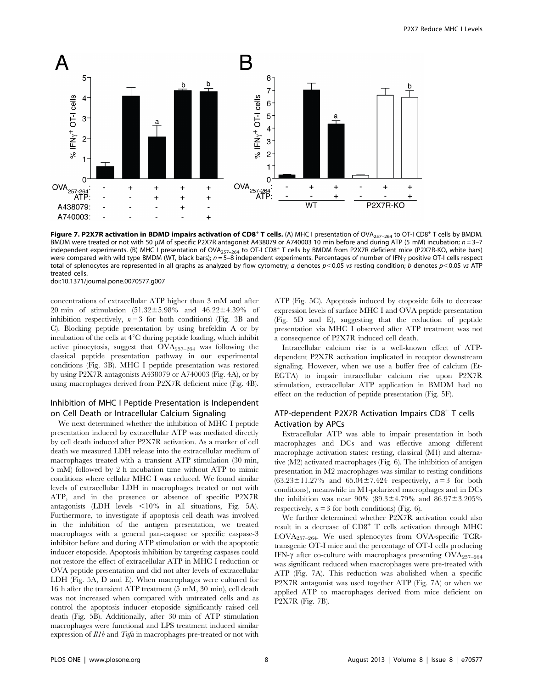

Figure 7. P2X7R activation in BDMD impairs activation of CD8<sup>+</sup> T cells. (A) MHC I presentation of OVA<sub>257-264</sub> to OT-I CD8<sup>+</sup> T cells by BMDM. BMDM were treated or not with 50 µM of specific P2X7R antagonist A438079 or A740003 10 min before and during ATP (5 mM) incubation;  $n = 3-7$ independent experiments. (B) MHC I presentation of OVA<sub>257–264</sub> to OT-I CD8<sup>+</sup> T cells by BMDM from P2X7R deficient mice (P2X7R-KO, white bars) were compared with wild type BMDM (WT, black bars);  $n = 5-8$  independent experiments. Percentages of number of IFN $\gamma$  positive OT-I cells respect total of splenocytes are represented in all graphs as analyzed by flow cytometry; a denotes  $p<0.05$  vs resting condition; b denotes  $p<0.05$  vs ATP treated cells.

doi:10.1371/journal.pone.0070577.g007

concentrations of extracellular ATP higher than 3 mM and after 20 min of stimulation  $(51.32 \pm 5.98\%$  and  $46.22 \pm 4.39\%$  of inhibition respectively,  $n = 3$  for both conditions) (Fig. 3B and C). Blocking peptide presentation by using brefeldin A or by incubation of the cells at  $4^{\circ}$ C during peptide loading, which inhibit active pinocytosis, suggest that OVA257–264 was following the classical peptide presentation pathway in our experimental conditions (Fig. 3B). MHC I peptide presentation was restored by using P2X7R antagonists A438079 or A740003 (Fig. 4A), or by using macrophages derived from P2X7R deficient mice (Fig. 4B).

# Inhibition of MHC I Peptide Presentation is Independent on Cell Death or Intracellular Calcium Signaling

We next determined whether the inhibition of MHC I peptide presentation induced by extracellular ATP was mediated directly by cell death induced after P2X7R activation. As a marker of cell death we measured LDH release into the extracellular medium of macrophages treated with a transient ATP stimulation (30 min, 5 mM) followed by 2 h incubation time without ATP to mimic conditions where cellular MHC I was reduced. We found similar levels of extracellular LDH in macrophages treated or not with ATP, and in the presence or absence of specific P2X7R antagonists (LDH levels  $\lt 10\%$  in all situations, Fig. 5A). Furthermore, to investigate if apoptosis cell death was involved in the inhibition of the antigen presentation, we treated macrophages with a general pan-caspase or specific caspase-3 inhibitor before and during ATP stimulation or with the apoptotic inducer etoposide. Apoptosis inhibition by targeting caspases could not restore the effect of extracellular ATP in MHC I reduction or OVA peptide presentation and did not alter levels of extracellular LDH (Fig. 5A, D and E). When macrophages were cultured for 16 h after the transient ATP treatment (5 mM, 30 min), cell death was not increased when compared with untreated cells and as control the apoptosis inducer etoposide significantly raised cell death (Fig. 5B). Additionally, after 30 min of ATP stimulation macrophages were functional and LPS treatment induced similar expression of Il1b and Tnfa in macrophages pre-treated or not with ATP (Fig. 5C). Apoptosis induced by etoposide fails to decrease expression levels of surface MHC I and OVA peptide presentation (Fig. 5D and E), suggesting that the reduction of peptide presentation via MHC I observed after ATP treatment was not a consequence of P2X7R induced cell death.

Intracellular calcium rise is a well-known effect of ATPdependent P2X7R activation implicated in receptor downstream signaling. However, when we use a buffer free of calcium (Et-EGTA) to impair intracellular calcium rise upon P2X7R stimulation, extracellular ATP application in BMDM had no effect on the reduction of peptide presentation (Fig. 5F).

# ATP-dependent P2X7R Activation Impairs  $CDS<sup>+</sup>$  T cells Activation by APCs

Extracellular ATP was able to impair presentation in both macrophages and DCs and was effective among different macrophage activation states: resting, classical (M1) and alternative (M2) activated macrophages (Fig. 6). The inhibition of antigen presentation in M2 macrophages was similar to resting conditions  $(63.23 \pm 11.27\%$  and  $65.04 \pm 7.424$  respectively,  $n = 3$  for both conditions), meanwhile in M1-polarized macrophages and in DCs the inhibition was near 90% (89.3±4.79% and 86.97±3.205% respectively,  $n = 3$  for both conditions) (Fig. 6).

We further determined whether P2X7R activation could also result in a decrease of CD8<sup>+</sup> T cells activation through MHC I:OVA257–264. We used splenocytes from OVA-specific TCRtransgenic OT-I mice and the percentage of OT-I cells producing IFN- $\gamma$  after co-culture with macrophages presenting OVA<sub>257–264</sub> was significant reduced when macrophages were pre-treated with ATP (Fig. 7A). This reduction was abolished when a specific P2X7R antagonist was used together ATP (Fig. 7A) or when we applied ATP to macrophages derived from mice deficient on P2X7R (Fig. 7B).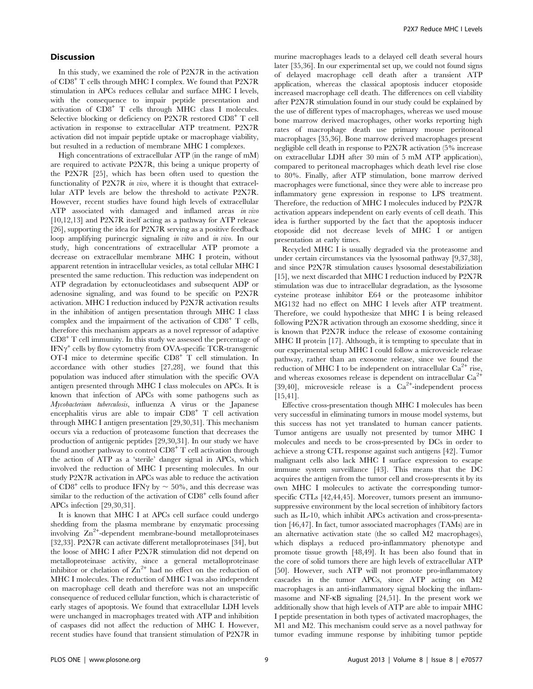## **Discussion**

In this study, we examined the role of P2X7R in the activation of CD8<sup>+</sup> T cells through MHC I complex. We found that P2X7R stimulation in APCs reduces cellular and surface MHC I levels, with the consequence to impair peptide presentation and activation of CD8<sup>+</sup> T cells through MHC class I molecules. Selective blocking or deficiency on P2X7R restored CD8<sup>+</sup> T cell activation in response to extracellular ATP treatment. P2X7R activation did not impair peptide uptake or macrophage viability, but resulted in a reduction of membrane MHC I complexes.

High concentrations of extracellular ATP (in the range of mM) are required to activate P2X7R, this being a unique property of the P2X7R [25], which has been often used to question the functionality of P2X7R in vivo, where it is thought that extracellular ATP levels are below the threshold to activate P2X7R. However, recent studies have found high levels of extracellular ATP associated with damaged and inflamed areas in vivo [10,12,13] and P2X7R itself acting as a pathway for ATP release [26], supporting the idea for P2X7R serving as a positive feedback loop amplifying purinergic signaling in vitro and in vivo. In our study, high concentrations of extracellular ATP promote a decrease on extracellular membrane MHC I protein, without apparent retention in intracellular vesicles, as total cellular MHC I presented the same reduction. This reduction was independent on ATP degradation by ectonucleotidases and subsequent ADP or adenosine signaling, and was found to be specific on P2X7R activation. MHC I reduction induced by P2X7R activation results in the inhibition of antigen presentation through MHC I class complex and the impairment of the activation of  $CD8^+$  T cells, therefore this mechanism appears as a novel repressor of adaptive  $CD8<sup>+</sup>$  T cell immunity. In this study we assessed the percentage of  $IFN\gamma^+$  cells by flow cytometry from OVA-specific TCR-transgenic OT-I mice to determine specific CD8<sup>+</sup> T cell stimulation. In accordance with other studies [27,28], we found that this population was induced after stimulation with the specific OVA antigen presented through MHC I class molecules on APCs. It is known that infection of APCs with some pathogens such as Mycobacterium tuberculosis, influenza A virus or the Japanese encephalitis virus are able to impair CD8<sup>+</sup> T cell activation through MHC I antigen presentation [29,30,31]. This mechanism occurs via a reduction of proteasome function that decreases the production of antigenic peptides [29,30,31]. In our study we have found another pathway to control  $CD8<sup>+</sup>$  T cell activation through the action of ATP as a 'sterile' danger signal in APCs, which involved the reduction of MHC I presenting molecules. In our study P2X7R activation in APCs was able to reduce the activation of CD8<sup>+</sup> cells to produce IFN $\gamma$  by  $\sim$  50%, and this decrease was similar to the reduction of the activation of  $CD8<sup>+</sup>$  cells found after APCs infection [29,30,31].

It is known that MHC I at APCs cell surface could undergo shedding from the plasma membrane by enzymatic processing involving  $\text{Zn}^{2+}$ -dependent membrane-bound metalloproteinases [32,33]. P2X7R can activate different metalloproteinases [34], but the loose of MHC I after P2X7R stimulation did not depend on metalloproteinase activity, since a general metalloproteinase inhibitor or chelation of  $\text{Zn}^{2+}$  had no effect on the reduction of MHC I molecules. The reduction of MHC I was also independent on macrophage cell death and therefore was not an unspecific consequence of reduced cellular function, which is characteristic of early stages of apoptosis. We found that extracellular LDH levels were unchanged in macrophages treated with ATP and inhibition of caspases did not affect the reduction of MHC I. However, recent studies have found that transient stimulation of P2X7R in murine macrophages leads to a delayed cell death several hours later [35,36]. In our experimental set up, we could not found signs of delayed macrophage cell death after a transient ATP application, whereas the classical apoptosis inducer etoposide increased macrophage cell death. The differences on cell viability after P2X7R stimulation found in our study could be explained by the use of different types of macrophages, whereas we used mouse bone marrow derived macrophages, other works reporting high rates of macrophage death use primary mouse peritoneal macrophages [35,36]. Bone marrow derived macrophages present negligible cell death in response to P2X7R activation (5% increase on extracellular LDH after 30 min of 5 mM ATP application), compared to peritoneal macrophages which death level rise close to 80%. Finally, after ATP stimulation, bone marrow derived macrophages were functional, since they were able to increase pro inflammatory gene expression in response to LPS treatment. Therefore, the reduction of MHC I molecules induced by P2X7R activation appears independent on early events of cell death. This idea is further supported by the fact that the apoptosis inducer etoposide did not decrease levels of MHC I or antigen presentation at early times.

Recycled MHC I is usually degraded via the proteasome and under certain circumstances via the lysosomal pathway [9,37,38], and since P2X7R stimulation causes lysosomal desestabiliziation [15], we next discarded that MHC I reduction induced by P2X7R stimulation was due to intracellular degradation, as the lysosome cysteine protease inhibitor E64 or the proteasome inhibitor MG132 had no effect on MHC I levels after ATP treatment. Therefore, we could hypothesize that MHC I is being released following P2X7R activation through an exosome shedding, since it is known that P2X7R induce the release of exosome containing MHC II protein [17]. Although, it is tempting to speculate that in our experimental setup MHC I could follow a microvesicle release pathway, rather than an exosome release, since we found the reduction of MHC I to be independent on intracellular  $Ca^{2+}$  rise, and whereas exosomes release is dependent on intracellular  $Ca<sup>2+</sup>$ [39,40], microvesicle release is a  $Ca^{2+}$ -independent process [15,41].

Effective cross-presentation though MHC I molecules has been very successful in eliminating tumors in mouse model systems, but this success has not yet translated to human cancer patients. Tumor antigens are usually not presented by tumor MHC I molecules and needs to be cross-presented by DCs in order to achieve a strong CTL response against such antigens [42]. Tumor malignant cells also lack MHC I surface expression to escape immune system surveillance [43]. This means that the DC acquires the antigen from the tumor cell and cross-presents it by its own MHC I molecules to activate the corresponding tumorspecific CTLs [42,44,45]. Moreover, tumors present an immunosuppressive environment by the local secretion of inhibitory factors such as IL-10, which inhibit APCs activation and cross-presentation [46,47]. In fact, tumor associated macrophages (TAMs) are in an alternative activation state (the so called M2 macrophages), which displays a reduced pro-inflammatory phenotype and promote tissue growth [48,49]. It has been also found that in the core of solid tumors there are high levels of extracellular ATP [50]. However, such ATP will not promote pro-inflammatory cascades in the tumor APCs, since ATP acting on M2 macrophages is an anti-inflammatory signal blocking the inflammasome and NF-kB signaling [24,51]. In the present work we additionally show that high levels of ATP are able to impair MHC I peptide presentation in both types of activated macrophages, the M1 and M2. This mechanism could serve as a novel pathway for tumor evading immune response by inhibiting tumor peptide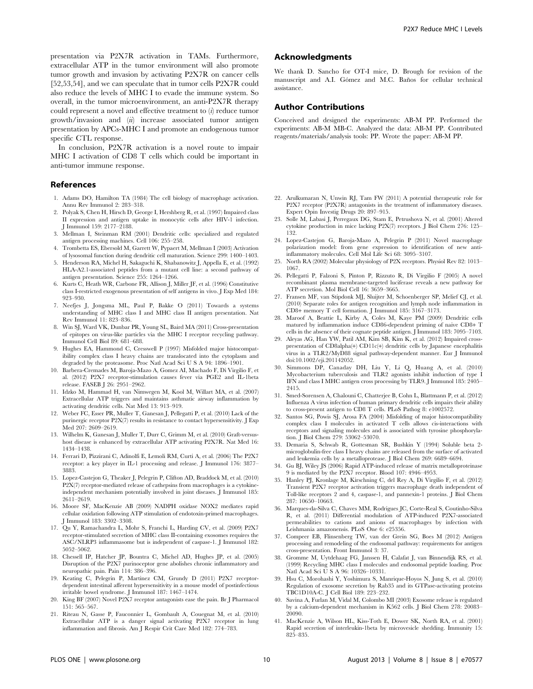presentation via P2X7R activation in TAMs. Furthermore, extracellular ATP in the tumor environment will also promote tumor growth and invasion by activating P2X7R on cancer cells [52,53,54], and we can speculate that in tumor cells P2X7R could also reduce the levels of MHC I to evade the immune system. So overall, in the tumor microenvironment, an anti-P2X7R therapy could represent a novel and effective treatment to  $(i)$  reduce tumor growth/invasion and (ii) increase associated tumor antigen presentation by APCs-MHC I and promote an endogenous tumor specific CTL response.

In conclusion, P2X7R activation is a novel route to impair MHC I activation of CD8 T cells which could be important in anti-tumor immune response.

#### References

- 1. Adams DO, Hamilton TA (1984) The cell biology of macrophage activation. Annu Rev Immunol 2: 283–318.
- 2. Polyak S, Chen H, Hirsch D, George I, Hershberg R, et al. (1997) Impaired class II expression and antigen uptake in monocytic cells after HIV-1 infection. J Immunol 159: 2177–2188.
- 3. Mellman I, Steinman RM (2001) Dendritic cells: specialized and regulated antigen processing machines. Cell 106: 255–258.
- 4. Trombetta ES, Ebersold M, Garrett W, Pypaert M, Mellman I (2003) Activation of lysosomal function during dendritic cell maturation. Science 299: 1400–1403.
- 5. Henderson RA, Michel H, Sakaguchi K, Shabanowitz J, Appella E, et al. (1992) HLA-A2.1-associated peptides from a mutant cell line: a second pathway of antigen presentation. Science 255: 1264–1266.
- 6. Kurts C, Heath WR, Carbone FR, Allison J, Miller JF, et al. (1996) Constitutive class I-restricted exogenous presentation of self antigens in vivo. J Exp Med 184: 923–930.
- 7. Neefjes J, Jongsma ML, Paul P, Bakke O (2011) Towards a systems understanding of MHC class I and MHC class II antigen presentation. Nat Rev Immunol 11: 823–836.
- 8. Win SJ, Ward VK, Dunbar PR, Young SL, Baird MA (2011) Cross-presentation of epitopes on virus-like particles via the MHC I receptor recycling pathway. Immunol Cell Biol 89: 681–688.
- 9. Hughes EA, Hammond C, Cresswell P (1997) Misfolded major histocompatibility complex class I heavy chains are translocated into the cytoplasm and degraded by the proteasome. Proc Natl Acad Sci U S A 94: 1896–1901.
- 10. Barbera-Cremades M, Baroja-Mazo A, Gomez AI, Machado F, Di Virgilio F, et al. (2012) P2X7 receptor-stimulation causes fever via PGE2 and IL-1beta release. FASEB J 26: 2951–2962.
- 11. Idzko M, Hammad H, van Nimwegen M, Kool M, Willart MA, et al. (2007) Extracellular ATP triggers and maintains asthmatic airway inflammation by activating dendritic cells. Nat Med 13: 913–919.
- 12. Weber FC, Esser PR, Muller T, Ganesan J, Pellegatti P, et al. (2010) Lack of the purinergic receptor P2X(7) results in resistance to contact hypersensitivity. J Exp Med 207: 2609–2619.
- 13. Wilhelm K, Ganesan J, Muller T, Durr C, Grimm M, et al. (2010) Graft-versushost disease is enhanced by extracellular ATP activating P2X7R. Nat Med 16: 1434–1438.
- 14. Ferrari D, Pizzirani C, Adinolfi E, Lemoli RM, Curti A, et al. (2006) The P2X7 receptor: a key player in IL-1 processing and release. J Immunol 176: 3877– 3883.
- 15. Lopez-Castejon G, Theaker J, Pelegrin P, Clifton AD, Braddock M, et al. (2010) P2X(7) receptor-mediated release of cathepsins from macrophages is a cytokineindependent mechanism potentially involved in joint diseases. J Immunol 185: 2611–2619.
- 16. Moore SF, MacKenzie AB (2009) NADPH oxidase NOX2 mediates rapid cellular oxidation following ATP stimulation of endotoxin-primed macrophag J Immunol 183: 3302–3308.
- 17. Qu Y, Ramachandra L, Mohr S, Franchi L, Harding CV, et al. (2009) P2X7 receptor-stimulated secretion of MHC class II-containing exosomes requires the ASC/NLRP3 inflammasome but is independent of caspase-1. J Immunol 182: 5052–5062.
- 18. Chessell IP, Hatcher JP, Bountra C, Michel AD, Hughes JP, et al. (2005) Disruption of the P2X7 purinoceptor gene abolishes chronic inflammatory and neuropathic pain. Pain 114: 386–396.
- 19. Keating C, Pelegrin P, Martinez CM, Grundy D (2011) P2X7 receptordependent intestinal afferent hypersensitivity in a mouse model of postinfectious irritable bowel syndrome. J Immunol 187: 1467–1474.
- 20. King BF (2007) Novel P2X7 receptor antagonists ease the pain. Br J Pharmacol 151: 565–567.
- 21. Riteau N, Gasse P, Fauconnier L, Gombault A, Couegnat M, et al. (2010) Extracellular ATP is a danger signal activating P2X7 receptor in lung inflammation and fibrosis. Am J Respir Crit Care Med 182: 774–783.

## Acknowledgments

We thank D. Sancho for OT-I mice, D. Brough for revision of the manuscript and A.I. Gómez and M.C. Baños for cellular technical assistance.

#### Author Contributions

Conceived and designed the experiments: AB-M PP. Performed the experiments: AB-M MB-C. Analyzed the data: AB-M PP. Contributed reagents/materials/analysis tools: PP. Wrote the paper: AB-M PP.

- 22. Arulkumaran N, Unwin RJ, Tam FW (2011) A potential therapeutic role for P2X7 receptor (P2X7R) antagonists in the treatment of inflammatory diseases. Expert Opin Investig Drugs 20: 897–915.
- 23. Solle M, Labasi J, Perregaux DG, Stam E, Petrushova N, et al. (2001) Altered cytokine production in mice lacking P2X(7) receptors. J Biol Chem 276: 125– 132.
- 24. Lopez-Castejon G, Baroja-Mazo A, Pelegrin P (2011) Novel macrophage polarization model: from gene expression to identification of new anti-inflammatory molecules. Cell Mol Life Sci 68: 3095–3107.
- 25. North RA (2002) Molecular physiology of P2X receptors. Physiol Rev 82: 1013– 1067.
- 26. Pellegatti P, Falzoni S, Pinton P, Rizzuto R, Di Virgilio F (2005) A novel recombinant plasma membrane-targeted luciferase reveals a new pathway for ATP secretion. Mol Biol Cell 16: 3659–3665.
- 27. Fransen MF, van Stipdonk MJ, Sluijter M, Schoenberger SP, Melief CJ, et al. (2010) Separate roles for antigen recognition and lymph node inflammation in CD8+ memory T cell formation. J Immunol 185: 3167–3173.
- 28. Maroof A, Beattie L, Kirby A, Coles M, Kaye PM (2009) Dendritic cells matured by inflammation induce CD86-dependent priming of naive CD8+ T cells in the absence of their cognate peptide antigen. J Immunol 183: 7095–7103.
- 29. Aleyas AG, Han YW, Patil AM, Kim SB, Kim K, et al. (2012) Impaired crosspresentation of CD8alpha(+) CD11c(+) dendritic cells by Japanese encephalitis virus in a TLR2/MyD88 signal pathway-dependent manner. Eur J Immunol doi:10.1002/eji.201142052.
- 30. Simmons DP, Canaday DH, Liu Y, Li Q, Huang A, et al. (2010) Mycobacterium tuberculosis and TLR2 agonists inhibit induction of type I IFN and class I MHC antigen cross processing by TLR9. J Immunol 185: 2405– 2415.
- 31. Smed-Sorensen A, Chalouni C, Chatterjee B, Cohn L, Blattmann P, et al. (2012) Influenza A virus infection of human primary dendritic cells impairs their ability to cross-present antigen to CD8 T cells. PLoS Pathog 8: e1002572.
- 32. Santos SG, Powis SJ, Arosa FA (2004) Misfolding of major histocompatibility complex class I molecules in activated T cells allows cis-interactions with receptors and signaling molecules and is associated with tyrosine phosphorylation. J Biol Chem 279: 53062–53070.
- 33. Demaria S, Schwab R, Gottesman SR, Bushkin Y (1994) Soluble beta 2 microglobulin-free class I heavy chains are released from the surface of activated and leukemia cells by a metalloprotease. J Biol Chem 269: 6689–6694.
- 34. Gu BJ, Wiley JS (2006) Rapid ATP-induced release of matrix metalloproteinase 9 is mediated by the P2X7 receptor. Blood 107: 4946–4953.
- 35. Hanley PJ, Kronlage M, Kirschning C, del Rey A, Di Virgilio F, et al. (2012) Transient P2X7 receptor activation triggers macrophage death independent of Toll-like receptors 2 and 4, caspase-1, and pannexin-1 proteins. J Biol Chem 287: 10650–10663.
- 36. Marques-da-Silva C, Chaves MM, Rodrigues JC, Corte-Real S, Coutinho-Silva R, et al. (2011) Differential modulation of ATP-induced P2X7-associated permeabilities to cations and anions of macrophages by infection with Leishmania amazonensis. PLoS One 6: e25356.
- 37. Compeer EB, Flinsenberg TW, van der Grein SG, Boes M (2012) Antigen processing and remodeling of the endosomal pathway: requirements for antigen cross-presentation. Front Immunol 3: 37.
- 38. Gromme M, Uytdehaag FG, Janssen H, Calafat J, van Binnendijk RS, et al. (1999) Recycling MHC class I molecules and endosomal peptide loading. Proc Natl Acad Sci U S A 96: 10326-10331.
- 39. Hsu C, Morohashi Y, Yoshimura S, Manrique-Hoyos N, Jung S, et al. (2010) Regulation of exosome secretion by Rab35 and its GTPase-activating proteins TBC1D10A-C. J Cell Biol 189: 223–232.
- 40. Savina A, Furlan M, Vidal M, Colombo MI (2003) Exosome release is regulated by a calcium-dependent mechanism in K562 cells. J Biol Chem 278: 20083– 20090.
- 41. MacKenzie A, Wilson HL, Kiss-Toth E, Dower SK, North RA, et al. (2001) Rapid secretion of interleukin-1beta by microvesicle shedding. Immunity 15: 825–835.